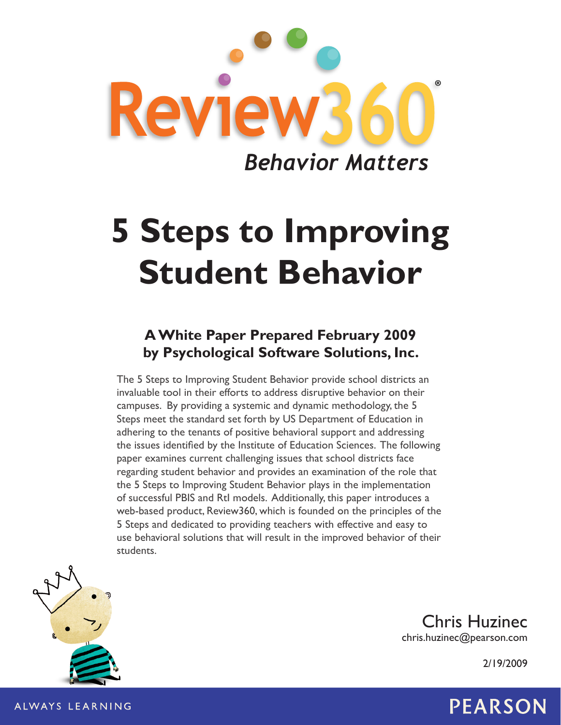

# **5 Steps to Improving Student Behavior**

# **A White Paper Prepared February 2009 by Psychological Software Solutions, Inc.**

The 5 Steps to Improving Student Behavior provide school districts an invaluable tool in their efforts to address disruptive behavior on their campuses. By providing a systemic and dynamic methodology, the 5 Steps meet the standard set forth by US Department of Education in adhering to the tenants of positive behavioral support and addressing the issues identified by the Institute of Education Sciences. The following paper examines current challenging issues that school districts face regarding student behavior and provides an examination of the role that the 5 Steps to Improving Student Behavior plays in the implementation of successful PBIS and RtI models. Additionally, this paper introduces a web-based product, Review360, which is founded on the principles of the 5 Steps and dedicated to providing teachers with effective and easy to use behavioral solutions that will result in the improved behavior of their students.



Chris Huzinec chris.huzinec@pearson.com

2/19/2009

# ALWAYS LEARNING  $\begin{array}{ccc} \text{ALWAYS} \end{array}$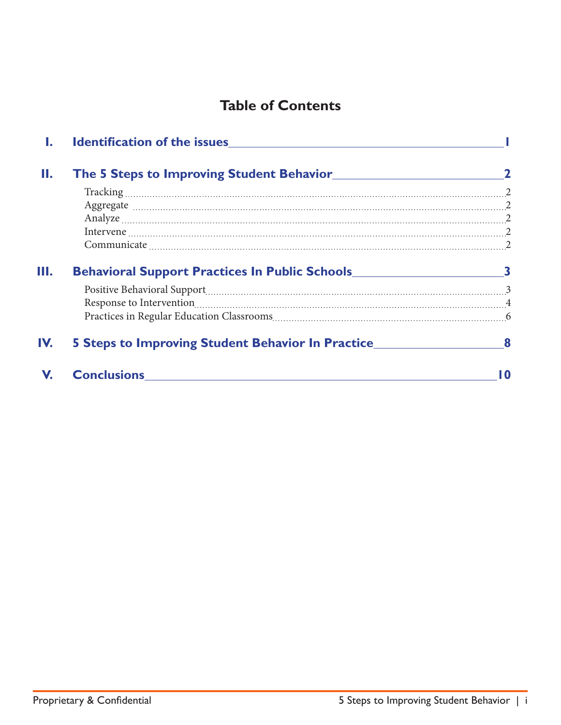# **Table of Contents**

| Н.  |                                                                                   |     |
|-----|-----------------------------------------------------------------------------------|-----|
|     |                                                                                   |     |
|     |                                                                                   |     |
|     |                                                                                   |     |
|     |                                                                                   |     |
|     |                                                                                   |     |
| Ш.  | Behavioral Support Practices In Public Schools__________________________________3 |     |
|     |                                                                                   |     |
|     |                                                                                   |     |
|     |                                                                                   |     |
| IV. | 5 Steps to Improving Student Behavior In Practice________________________________ |     |
| V.  | <b>Conclusions Conclusions</b>                                                    | l N |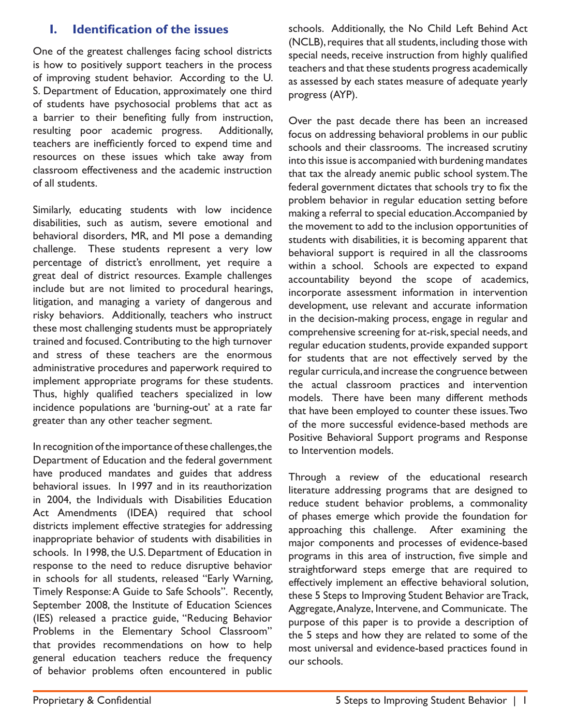## **I. Identification of the issues**

One of the greatest challenges facing school districts is how to positively support teachers in the process of improving student behavior. According to the U. S. Department of Education, approximately one third of students have psychosocial problems that act as a barrier to their benefiting fully from instruction, resulting poor academic progress. Additionally, teachers are inefficiently forced to expend time and resources on these issues which take away from classroom effectiveness and the academic instruction of all students.

Similarly, educating students with low incidence disabilities, such as autism, severe emotional and behavioral disorders, MR, and MI pose a demanding challenge. These students represent a very low percentage of district's enrollment, yet require a great deal of district resources. Example challenges include but are not limited to procedural hearings, litigation, and managing a variety of dangerous and risky behaviors. Additionally, teachers who instruct these most challenging students must be appropriately trained and focused. Contributing to the high turnover and stress of these teachers are the enormous administrative procedures and paperwork required to implement appropriate programs for these students. Thus, highly qualified teachers specialized in low incidence populations are 'burning-out' at a rate far greater than any other teacher segment.

In recognition of the importance of these challenges, the Department of Education and the federal government have produced mandates and guides that address behavioral issues. In 1997 and in its reauthorization in 2004, the Individuals with Disabilities Education Act Amendments (IDEA) required that school districts implement effective strategies for addressing inappropriate behavior of students with disabilities in schools. In 1998, the U.S. Department of Education in response to the need to reduce disruptive behavior in schools for all students, released "Early Warning, Timely Response: A Guide to Safe Schools". Recently, September 2008, the Institute of Education Sciences (IES) released a practice guide, "Reducing Behavior Problems in the Elementary School Classroom" that provides recommendations on how to help general education teachers reduce the frequency of behavior problems often encountered in public

schools. Additionally, the No Child Left Behind Act (NCLB), requires that all students, including those with special needs, receive instruction from highly qualified teachers and that these students progress academically as assessed by each states measure of adequate yearly progress (AYP).

Over the past decade there has been an increased focus on addressing behavioral problems in our public schools and their classrooms. The increased scrutiny into this issue is accompanied with burdening mandates that tax the already anemic public school system. The federal government dictates that schools try to fix the problem behavior in regular education setting before making a referral to special education. Accompanied by the movement to add to the inclusion opportunities of students with disabilities, it is becoming apparent that behavioral support is required in all the classrooms within a school. Schools are expected to expand accountability beyond the scope of academics, incorporate assessment information in intervention development, use relevant and accurate information in the decision-making process, engage in regular and comprehensive screening for at-risk, special needs, and regular education students, provide expanded support for students that are not effectively served by the regular curricula, and increase the congruence between the actual classroom practices and intervention models. There have been many different methods that have been employed to counter these issues. Two of the more successful evidence-based methods are Positive Behavioral Support programs and Response to Intervention models.

Through a review of the educational research literature addressing programs that are designed to reduce student behavior problems, a commonality of phases emerge which provide the foundation for approaching this challenge. After examining the major components and processes of evidence-based programs in this area of instruction, five simple and straightforward steps emerge that are required to effectively implement an effective behavioral solution, these 5 Steps to Improving Student Behavior are Track, Aggregate, Analyze, Intervene, and Communicate. The purpose of this paper is to provide a description of the 5 steps and how they are related to some of the most universal and evidence-based practices found in our schools.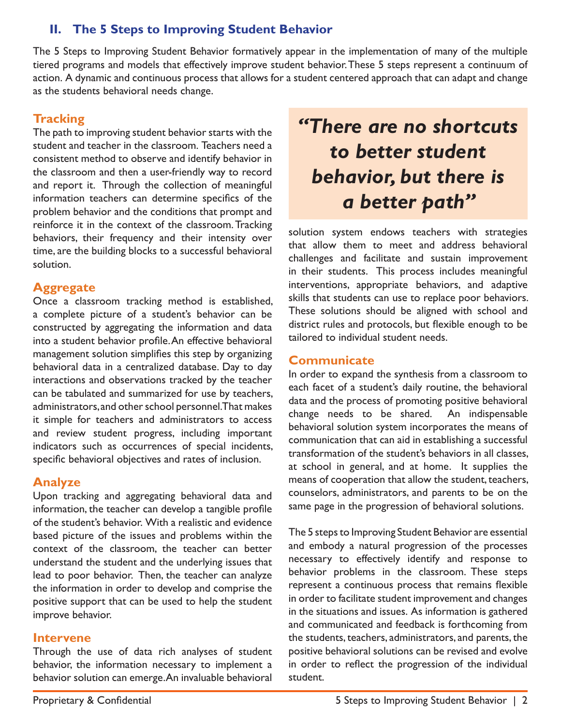# **II. The 5 Steps to Improving Student Behavior**

The 5 Steps to Improving Student Behavior formatively appear in the implementation of many of the multiple tiered programs and models that effectively improve student behavior. These 5 steps represent a continuum of action. A dynamic and continuous process that allows for a student centered approach that can adapt and change as the students behavioral needs change.

#### **Tracking**

The path to improving student behavior starts with the student and teacher in the classroom. Teachers need a consistent method to observe and identify behavior in the classroom and then a user-friendly way to record and report it. Through the collection of meaningful information teachers can determine specifics of the problem behavior and the conditions that prompt and reinforce it in the context of the classroom. Tracking behaviors, their frequency and their intensity over time, are the building blocks to a successful behavioral solution.

#### **Aggregate**

Once a classroom tracking method is established, a complete picture of a student's behavior can be constructed by aggregating the information and data into a student behavior profile. An effective behavioral management solution simplifies this step by organizing behavioral data in a centralized database. Day to day interactions and observations tracked by the teacher can be tabulated and summarized for use by teachers, administrators, and other school personnel. That makes it simple for teachers and administrators to access and review student progress, including important indicators such as occurrences of special incidents, specific behavioral objectives and rates of inclusion.

#### **Analyze**

Upon tracking and aggregating behavioral data and information, the teacher can develop a tangible profile of the student's behavior. With a realistic and evidence based picture of the issues and problems within the context of the classroom, the teacher can better understand the student and the underlying issues that lead to poor behavior. Then, the teacher can analyze the information in order to develop and comprise the positive support that can be used to help the student improve behavior.

#### **Intervene**

Through the use of data rich analyses of student behavior, the information necessary to implement a behavior solution can emerge. An invaluable behavioral

# *"There are no shortcuts to better student behavior, but there is a better path"*

solution system endows teachers with strategies that allow them to meet and address behavioral challenges and facilitate and sustain improvement in their students. This process includes meaningful interventions, appropriate behaviors, and adaptive skills that students can use to replace poor behaviors. These solutions should be aligned with school and district rules and protocols, but flexible enough to be tailored to individual student needs.

#### **Communicate**

In order to expand the synthesis from a classroom to each facet of a student's daily routine, the behavioral data and the process of promoting positive behavioral change needs to be shared. An indispensable behavioral solution system incorporates the means of communication that can aid in establishing a successful transformation of the student's behaviors in all classes, at school in general, and at home. It supplies the means of cooperation that allow the student, teachers, counselors, administrators, and parents to be on the same page in the progression of behavioral solutions.

The 5 steps to Improving Student Behavior are essential and embody a natural progression of the processes necessary to effectively identify and response to behavior problems in the classroom. These steps represent a continuous process that remains flexible in order to facilitate student improvement and changes in the situations and issues. As information is gathered and communicated and feedback is forthcoming from the students, teachers, administrators, and parents, the positive behavioral solutions can be revised and evolve in order to reflect the progression of the individual student.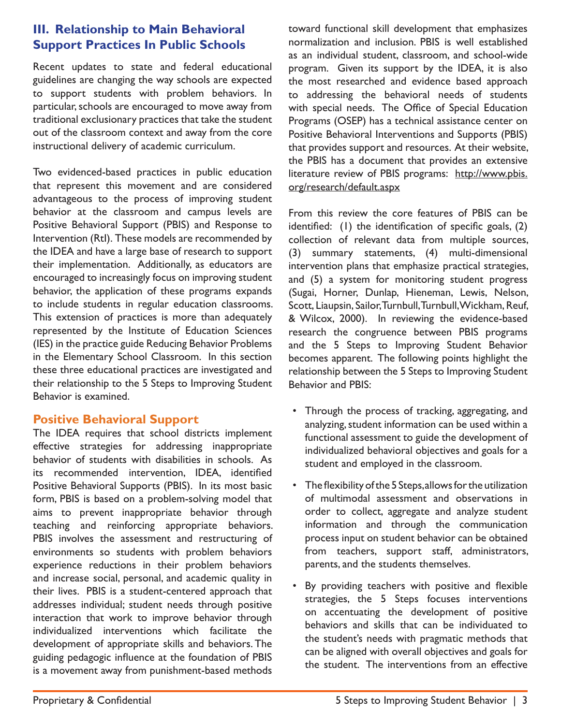### **III. Relationship to Main Behavioral Support Practices In Public Schools**

Recent updates to state and federal educational guidelines are changing the way schools are expected to support students with problem behaviors. In particular, schools are encouraged to move away from traditional exclusionary practices that take the student out of the classroom context and away from the core instructional delivery of academic curriculum.

Two evidenced-based practices in public education that represent this movement and are considered advantageous to the process of improving student behavior at the classroom and campus levels are Positive Behavioral Support (PBIS) and Response to Intervention (RtI). These models are recommended by the IDEA and have a large base of research to support their implementation. Additionally, as educators are encouraged to increasingly focus on improving student behavior, the application of these programs expands to include students in regular education classrooms. This extension of practices is more than adequately represented by the Institute of Education Sciences (IES) in the practice guide Reducing Behavior Problems in the Elementary School Classroom. In this section these three educational practices are investigated and their relationship to the 5 Steps to Improving Student Behavior is examined.

#### **Positive Behavioral Support**

The IDEA requires that school districts implement effective strategies for addressing inappropriate behavior of students with disabilities in schools. As its recommended intervention, IDEA, identified Positive Behavioral Supports (PBIS). In its most basic form, PBIS is based on a problem-solving model that aims to prevent inappropriate behavior through teaching and reinforcing appropriate behaviors. PBIS involves the assessment and restructuring of environments so students with problem behaviors experience reductions in their problem behaviors and increase social, personal, and academic quality in their lives. PBIS is a student-centered approach that addresses individual; student needs through positive interaction that work to improve behavior through individualized interventions which facilitate the development of appropriate skills and behaviors. The guiding pedagogic influence at the foundation of PBIS is a movement away from punishment-based methods

toward functional skill development that emphasizes normalization and inclusion. PBIS is well established as an individual student, classroom, and school-wide program. Given its support by the IDEA, it is also the most researched and evidence based approach to addressing the behavioral needs of students with special needs. The Office of Special Education Programs (OSEP) has a technical assistance center on Positive Behavioral Interventions and Supports (PBIS) that provides support and resources. At their website, the PBIS has a document that provides an extensive literature review of PBIS programs: http://www.pbis. org/research/default.aspx

From this review the core features of PBIS can be identified: (1) the identification of specific goals, (2) collection of relevant data from multiple sources, (3) summary statements, (4) multi-dimensional intervention plans that emphasize practical strategies, and (5) a system for monitoring student progress (Sugai, Horner, Dunlap, Hieneman, Lewis, Nelson, Scott, Liaupsin, Sailor, Turnbull, Turnbull, Wickham, Reuf, & Wilcox, 2000). In reviewing the evidence-based research the congruence between PBIS programs and the 5 Steps to Improving Student Behavior becomes apparent. The following points highlight the relationship between the 5 Steps to Improving Student Behavior and PBIS:

- Through the process of tracking, aggregating, and analyzing, student information can be used within a functional assessment to guide the development of individualized behavioral objectives and goals for a student and employed in the classroom.
- The flexibility of the 5 Steps, allows for the utilization of multimodal assessment and observations in order to collect, aggregate and analyze student information and through the communication process input on student behavior can be obtained from teachers, support staff, administrators, parents, and the students themselves.
- By providing teachers with positive and flexible strategies, the 5 Steps focuses interventions on accentuating the development of positive behaviors and skills that can be individuated to the student's needs with pragmatic methods that can be aligned with overall objectives and goals for the student. The interventions from an effective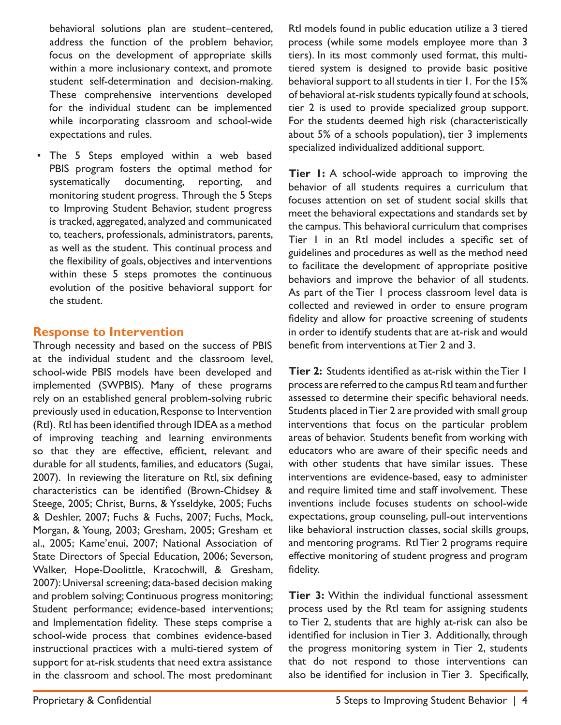behavioral solutions plan are student–centered, address the function of the problem behavior, focus on the development of appropriate skills within a more inclusionary context, and promote student self-determination and decision-making. These comprehensive interventions developed for the individual student can be implemented while incorporating classroom and school-wide expectations and rules.

The 5 Steps employed within a web based PBIS program fosters the optimal method for systematically documenting, reporting, and monitoring student progress. Through the 5 Steps to Improving Student Behavior, student progress is tracked, aggregated, analyzed and communicated to, teachers, professionals, administrators, parents, as well as the student. This continual process and the flexibility of goals, objectives and interventions within these 5 steps promotes the continuous evolution of the positive behavioral support for the student.

#### **Response to Intervention**

Through necessity and based on the success of PBIS at the individual student and the classroom level, school-wide PBIS models have been developed and implemented (SWPBIS). Many of these programs rely on an established general problem-solving rubric previously used in education, Response to Intervention (RtI). RtI has been identified through IDEA as a method of improving teaching and learning environments so that they are effective, efficient, relevant and durable for all students, families, and educators (Sugai, 2007). In reviewing the literature on RtI, six defining characteristics can be identified (Brown-Chidsey & Steege, 2005; Christ, Burns, & Ysseldyke, 2005; Fuchs & Deshler, 2007; Fuchs & Fuchs, 2007; Fuchs, Mock, Morgan, & Young, 2003; Gresham, 2005; Gresham et al., 2005; Kame'enui, 2007; National Association of State Directors of Special Education, 2006; Severson, Walker, Hope-Doolittle, Kratochwill, & Gresham, 2007): Universal screening; data-based decision making and problem solving; Continuous progress monitoring; Student performance; evidence-based interventions; and Implementation fidelity. These steps comprise a school-wide process that combines evidence-based instructional practices with a multi-tiered system of support for at-risk students that need extra assistance in the classroom and school. The most predominant

RtI models found in public education utilize a 3 tiered process (while some models employee more than 3 tiers). In its most commonly used format, this multitiered system is designed to provide basic positive behavioral support to all students in tier 1. For the 15% of behavioral at-risk students typically found at schools, tier 2 is used to provide specialized group support. For the students deemed high risk (characteristically about 5% of a schools population), tier 3 implements specialized individualized additional support.

**Tier 1:** A school-wide approach to improving the behavior of all students requires a curriculum that focuses attention on set of student social skills that meet the behavioral expectations and standards set by the campus. This behavioral curriculum that comprises Tier 1 in an RtI model includes a specific set of guidelines and procedures as well as the method need to facilitate the development of appropriate positive behaviors and improve the behavior of all students. As part of the Tier 1 process classroom level data is collected and reviewed in order to ensure program fidelity and allow for proactive screening of students in order to identify students that are at-risk and would benefit from interventions at Tier 2 and 3.

**Tier 2:** Students identified as at-risk within the Tier 1 process are referred to the campus RtI team and further assessed to determine their specific behavioral needs. Students placed in Tier 2 are provided with small group interventions that focus on the particular problem areas of behavior. Students benefit from working with educators who are aware of their specific needs and with other students that have similar issues. These interventions are evidence-based, easy to administer and require limited time and staff involvement. These inventions include focuses students on school-wide expectations, group counseling, pull-out interventions like behavioral instruction classes, social skills groups, and mentoring programs. RtI Tier 2 programs require effective monitoring of student progress and program fidelity.

**Tier 3:** Within the individual functional assessment process used by the RtI team for assigning students to Tier 2, students that are highly at-risk can also be identified for inclusion in Tier 3. Additionally, through the progress monitoring system in Tier 2, students that do not respond to those interventions can also be identified for inclusion in Tier 3. Specifically,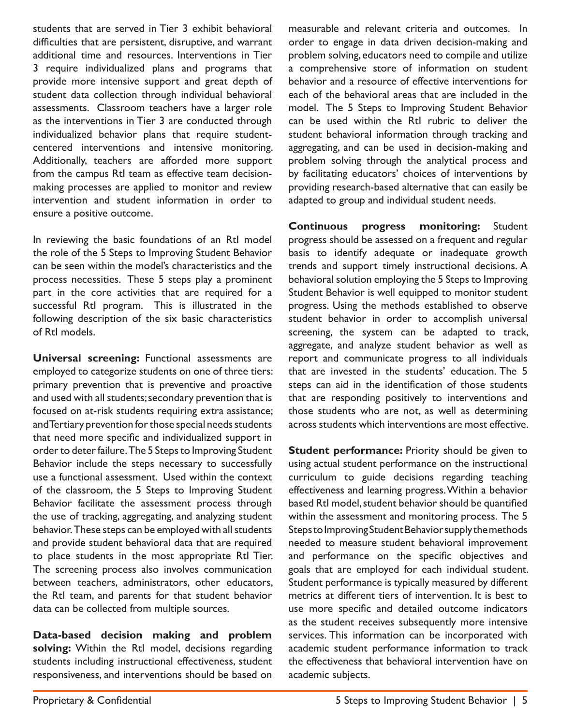students that are served in Tier 3 exhibit behavioral difficulties that are persistent, disruptive, and warrant additional time and resources. Interventions in Tier 3 require individualized plans and programs that provide more intensive support and great depth of student data collection through individual behavioral assessments. Classroom teachers have a larger role as the interventions in Tier 3 are conducted through individualized behavior plans that require studentcentered interventions and intensive monitoring. Additionally, teachers are afforded more support from the campus RtI team as effective team decisionmaking processes are applied to monitor and review intervention and student information in order to ensure a positive outcome.

In reviewing the basic foundations of an RtI model the role of the 5 Steps to Improving Student Behavior can be seen within the model's characteristics and the process necessities. These 5 steps play a prominent part in the core activities that are required for a successful RtI program. This is illustrated in the following description of the six basic characteristics of RtI models.

**Universal screening:** Functional assessments are employed to categorize students on one of three tiers: primary prevention that is preventive and proactive and used with all students; secondary prevention that is focused on at-risk students requiring extra assistance; and Tertiary prevention for those special needs students that need more specific and individualized support in order to deter failure. The 5 Steps to Improving Student Behavior include the steps necessary to successfully use a functional assessment. Used within the context of the classroom, the 5 Steps to Improving Student Behavior facilitate the assessment process through the use of tracking, aggregating, and analyzing student behavior. These steps can be employed with all students and provide student behavioral data that are required to place students in the most appropriate RtI Tier. The screening process also involves communication between teachers, administrators, other educators, the RtI team, and parents for that student behavior data can be collected from multiple sources.

**Data-based decision making and problem solving:** Within the RtI model, decisions regarding students including instructional effectiveness, student responsiveness, and interventions should be based on measurable and relevant criteria and outcomes. In order to engage in data driven decision-making and problem solving, educators need to compile and utilize a comprehensive store of information on student behavior and a resource of effective interventions for each of the behavioral areas that are included in the model. The 5 Steps to Improving Student Behavior can be used within the RtI rubric to deliver the student behavioral information through tracking and aggregating, and can be used in decision-making and problem solving through the analytical process and by facilitating educators' choices of interventions by providing research-based alternative that can easily be adapted to group and individual student needs.

**Continuous progress monitoring:** Student progress should be assessed on a frequent and regular basis to identify adequate or inadequate growth trends and support timely instructional decisions. A behavioral solution employing the 5 Steps to Improving Student Behavior is well equipped to monitor student progress. Using the methods established to observe student behavior in order to accomplish universal screening, the system can be adapted to track, aggregate, and analyze student behavior as well as report and communicate progress to all individuals that are invested in the students' education. The 5 steps can aid in the identification of those students that are responding positively to interventions and those students who are not, as well as determining across students which interventions are most effective.

**Student performance:** Priority should be given to using actual student performance on the instructional curriculum to guide decisions regarding teaching effectiveness and learning progress. Within a behavior based RtI model, student behavior should be quantified within the assessment and monitoring process. The 5 Steps to Improving Student Behavior supply the methods needed to measure student behavioral improvement and performance on the specific objectives and goals that are employed for each individual student. Student performance is typically measured by different metrics at different tiers of intervention. It is best to use more specific and detailed outcome indicators as the student receives subsequently more intensive services. This information can be incorporated with academic student performance information to track the effectiveness that behavioral intervention have on academic subjects.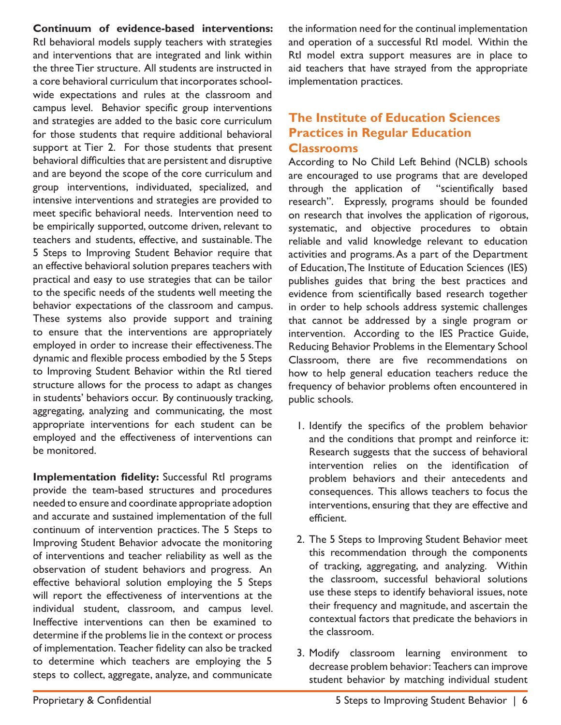**Continuum of evidence-based interventions:**  RtI behavioral models supply teachers with strategies and interventions that are integrated and link within the three Tier structure. All students are instructed in a core behavioral curriculum that incorporates schoolwide expectations and rules at the classroom and campus level. Behavior specific group interventions and strategies are added to the basic core curriculum for those students that require additional behavioral support at Tier 2. For those students that present behavioral difficulties that are persistent and disruptive and are beyond the scope of the core curriculum and group interventions, individuated, specialized, and intensive interventions and strategies are provided to meet specific behavioral needs. Intervention need to be empirically supported, outcome driven, relevant to teachers and students, effective, and sustainable. The 5 Steps to Improving Student Behavior require that an effective behavioral solution prepares teachers with practical and easy to use strategies that can be tailor to the specific needs of the students well meeting the behavior expectations of the classroom and campus. These systems also provide support and training to ensure that the interventions are appropriately employed in order to increase their effectiveness. The dynamic and flexible process embodied by the 5 Steps to Improving Student Behavior within the RtI tiered structure allows for the process to adapt as changes in students' behaviors occur. By continuously tracking, aggregating, analyzing and communicating, the most appropriate interventions for each student can be employed and the effectiveness of interventions can be monitored.

**Implementation fidelity:** Successful RtI programs provide the team-based structures and procedures needed to ensure and coordinate appropriate adoption and accurate and sustained implementation of the full continuum of intervention practices. The 5 Steps to Improving Student Behavior advocate the monitoring of interventions and teacher reliability as well as the observation of student behaviors and progress. An effective behavioral solution employing the 5 Steps will report the effectiveness of interventions at the individual student, classroom, and campus level. Ineffective interventions can then be examined to determine if the problems lie in the context or process of implementation. Teacher fidelity can also be tracked to determine which teachers are employing the 5 steps to collect, aggregate, analyze, and communicate

the information need for the continual implementation and operation of a successful RtI model. Within the RtI model extra support measures are in place to aid teachers that have strayed from the appropriate implementation practices.

#### **The Institute of Education Sciences Practices in Regular Education Classrooms**

According to No Child Left Behind (NCLB) schools are encouraged to use programs that are developed through the application of "scientifically based research". Expressly, programs should be founded on research that involves the application of rigorous, systematic, and objective procedures to obtain reliable and valid knowledge relevant to education activities and programs. As a part of the Department of Education, The Institute of Education Sciences (IES) publishes guides that bring the best practices and evidence from scientifically based research together in order to help schools address systemic challenges that cannot be addressed by a single program or intervention. According to the IES Practice Guide, Reducing Behavior Problems in the Elementary School Classroom, there are five recommendations on how to help general education teachers reduce the frequency of behavior problems often encountered in public schools.

- 1. Identify the specifics of the problem behavior and the conditions that prompt and reinforce it: Research suggests that the success of behavioral intervention relies on the identification of problem behaviors and their antecedents and consequences. This allows teachers to focus the interventions, ensuring that they are effective and efficient.
- 2. The 5 Steps to Improving Student Behavior meet this recommendation through the components of tracking, aggregating, and analyzing. Within the classroom, successful behavioral solutions use these steps to identify behavioral issues, note their frequency and magnitude, and ascertain the contextual factors that predicate the behaviors in the classroom.
- 3. Modify classroom learning environment to decrease problem behavior: Teachers can improve student behavior by matching individual student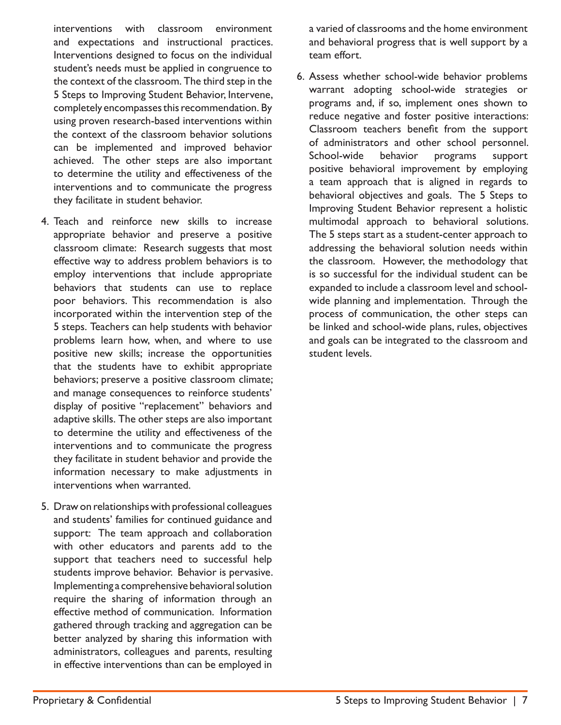interventions with classroom environment and expectations and instructional practices. Interventions designed to focus on the individual student's needs must be applied in congruence to the context of the classroom. The third step in the 5 Steps to Improving Student Behavior, Intervene, completely encompasses this recommendation. By using proven research-based interventions within the context of the classroom behavior solutions can be implemented and improved behavior achieved. The other steps are also important to determine the utility and effectiveness of the interventions and to communicate the progress they facilitate in student behavior.

- 4. Teach and reinforce new skills to increase appropriate behavior and preserve a positive classroom climate: Research suggests that most effective way to address problem behaviors is to employ interventions that include appropriate behaviors that students can use to replace poor behaviors. This recommendation is also incorporated within the intervention step of the 5 steps. Teachers can help students with behavior problems learn how, when, and where to use positive new skills; increase the opportunities that the students have to exhibit appropriate behaviors; preserve a positive classroom climate; and manage consequences to reinforce students' display of positive "replacement" behaviors and adaptive skills. The other steps are also important to determine the utility and effectiveness of the interventions and to communicate the progress they facilitate in student behavior and provide the information necessary to make adjustments in interventions when warranted.
- 5. Draw on relationships with professional colleagues and students' families for continued guidance and support: The team approach and collaboration with other educators and parents add to the support that teachers need to successful help students improve behavior. Behavior is pervasive. Implementing a comprehensive behavioral solution require the sharing of information through an effective method of communication. Information gathered through tracking and aggregation can be better analyzed by sharing this information with administrators, colleagues and parents, resulting in effective interventions than can be employed in

a varied of classrooms and the home environment and behavioral progress that is well support by a team effort.

6. Assess whether school-wide behavior problems warrant adopting school-wide strategies or programs and, if so, implement ones shown to reduce negative and foster positive interactions: Classroom teachers benefit from the support of administrators and other school personnel. School-wide behavior programs support positive behavioral improvement by employing a team approach that is aligned in regards to behavioral objectives and goals. The 5 Steps to Improving Student Behavior represent a holistic multimodal approach to behavioral solutions. The 5 steps start as a student-center approach to addressing the behavioral solution needs within the classroom. However, the methodology that is so successful for the individual student can be expanded to include a classroom level and schoolwide planning and implementation. Through the process of communication, the other steps can be linked and school-wide plans, rules, objectives and goals can be integrated to the classroom and student levels.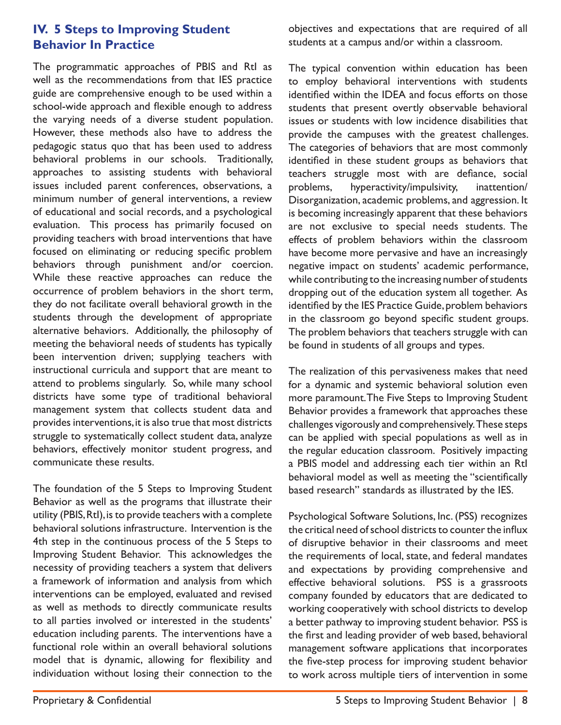#### **IV. 5 Steps to Improving Student Behavior In Practice**

The programmatic approaches of PBIS and RtI as well as the recommendations from that IES practice guide are comprehensive enough to be used within a school-wide approach and flexible enough to address the varying needs of a diverse student population. However, these methods also have to address the pedagogic status quo that has been used to address behavioral problems in our schools. Traditionally, approaches to assisting students with behavioral issues included parent conferences, observations, a minimum number of general interventions, a review of educational and social records, and a psychological evaluation. This process has primarily focused on providing teachers with broad interventions that have focused on eliminating or reducing specific problem behaviors through punishment and/or coercion. While these reactive approaches can reduce the occurrence of problem behaviors in the short term, they do not facilitate overall behavioral growth in the students through the development of appropriate alternative behaviors. Additionally, the philosophy of meeting the behavioral needs of students has typically been intervention driven; supplying teachers with instructional curricula and support that are meant to attend to problems singularly. So, while many school districts have some type of traditional behavioral management system that collects student data and provides interventions, it is also true that most districts struggle to systematically collect student data, analyze behaviors, effectively monitor student progress, and communicate these results.

The foundation of the 5 Steps to Improving Student Behavior as well as the programs that illustrate their utility (PBIS, RtI), is to provide teachers with a complete behavioral solutions infrastructure. Intervention is the 4th step in the continuous process of the 5 Steps to Improving Student Behavior. This acknowledges the necessity of providing teachers a system that delivers a framework of information and analysis from which interventions can be employed, evaluated and revised as well as methods to directly communicate results to all parties involved or interested in the students' education including parents. The interventions have a functional role within an overall behavioral solutions model that is dynamic, allowing for flexibility and individuation without losing their connection to the

objectives and expectations that are required of all students at a campus and/or within a classroom.

The typical convention within education has been to employ behavioral interventions with students identified within the IDEA and focus efforts on those students that present overtly observable behavioral issues or students with low incidence disabilities that provide the campuses with the greatest challenges. The categories of behaviors that are most commonly identified in these student groups as behaviors that teachers struggle most with are defiance, social problems, hyperactivity/impulsivity, inattention/ Disorganization, academic problems, and aggression. It is becoming increasingly apparent that these behaviors are not exclusive to special needs students. The effects of problem behaviors within the classroom have become more pervasive and have an increasingly negative impact on students' academic performance, while contributing to the increasing number of students dropping out of the education system all together. As identified by the IES Practice Guide, problem behaviors in the classroom go beyond specific student groups. The problem behaviors that teachers struggle with can be found in students of all groups and types.

The realization of this pervasiveness makes that need for a dynamic and systemic behavioral solution even more paramount. The Five Steps to Improving Student Behavior provides a framework that approaches these challenges vigorously and comprehensively. These steps can be applied with special populations as well as in the regular education classroom. Positively impacting a PBIS model and addressing each tier within an RtI behavioral model as well as meeting the "scientifically based research" standards as illustrated by the IES.

Psychological Software Solutions, Inc. (PSS) recognizes the critical need of school districts to counter the influx of disruptive behavior in their classrooms and meet the requirements of local, state, and federal mandates and expectations by providing comprehensive and effective behavioral solutions. PSS is a grassroots company founded by educators that are dedicated to working cooperatively with school districts to develop a better pathway to improving student behavior. PSS is the first and leading provider of web based, behavioral management software applications that incorporates the five-step process for improving student behavior to work across multiple tiers of intervention in some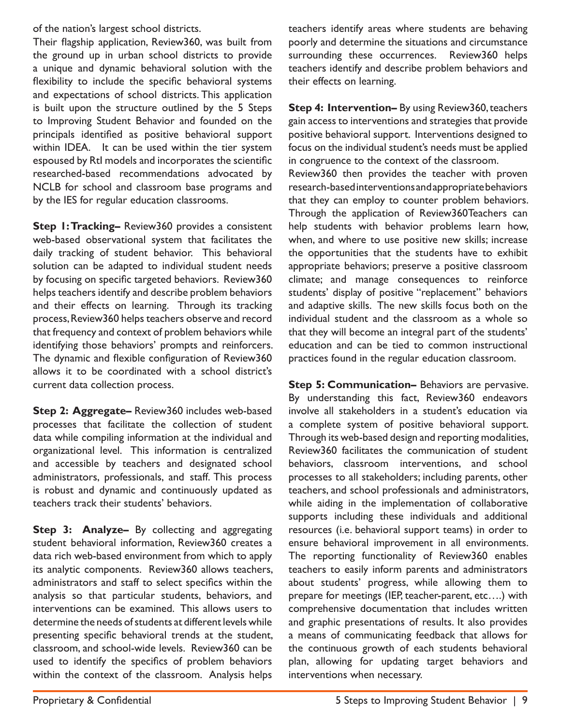of the nation's largest school districts.

Their flagship application, Review360, was built from the ground up in urban school districts to provide a unique and dynamic behavioral solution with the flexibility to include the specific behavioral systems and expectations of school districts. This application is built upon the structure outlined by the 5 Steps to Improving Student Behavior and founded on the principals identified as positive behavioral support within IDEA. It can be used within the tier system espoused by RtI models and incorporates the scientific researched-based recommendations advocated by NCLB for school and classroom base programs and by the IES for regular education classrooms.

**Step 1: Tracking–** Review360 provides a consistent web-based observational system that facilitates the daily tracking of student behavior. This behavioral solution can be adapted to individual student needs by focusing on specific targeted behaviors. Review360 helps teachers identify and describe problem behaviors and their effects on learning. Through its tracking process, Review360 helps teachers observe and record that frequency and context of problem behaviors while identifying those behaviors' prompts and reinforcers. The dynamic and flexible configuration of Review360 allows it to be coordinated with a school district's current data collection process.

**Step 2: Aggregate–** Review360 includes web-based processes that facilitate the collection of student data while compiling information at the individual and organizational level. This information is centralized and accessible by teachers and designated school administrators, professionals, and staff. This process is robust and dynamic and continuously updated as teachers track their students' behaviors.

**Step 3: Analyze–** By collecting and aggregating student behavioral information, Review360 creates a data rich web-based environment from which to apply its analytic components. Review360 allows teachers, administrators and staff to select specifics within the analysis so that particular students, behaviors, and interventions can be examined. This allows users to determine the needs of students at different levels while presenting specific behavioral trends at the student, classroom, and school-wide levels. Review360 can be used to identify the specifics of problem behaviors within the context of the classroom. Analysis helps

teachers identify areas where students are behaving poorly and determine the situations and circumstance surrounding these occurrences. Review360 helps teachers identify and describe problem behaviors and their effects on learning.

**Step 4: Intervention–** By using Review360, teachers gain access to interventions and strategies that provide positive behavioral support. Interventions designed to focus on the individual student's needs must be applied in congruence to the context of the classroom.

Review360 then provides the teacher with proven research-based interventions and appropriate behaviors that they can employ to counter problem behaviors. Through the application of Review360Teachers can help students with behavior problems learn how, when, and where to use positive new skills; increase the opportunities that the students have to exhibit appropriate behaviors; preserve a positive classroom climate; and manage consequences to reinforce students' display of positive "replacement" behaviors and adaptive skills. The new skills focus both on the individual student and the classroom as a whole so that they will become an integral part of the students' education and can be tied to common instructional practices found in the regular education classroom.

**Step 5: Communication–** Behaviors are pervasive. By understanding this fact, Review360 endeavors involve all stakeholders in a student's education via a complete system of positive behavioral support. Through its web-based design and reporting modalities, Review360 facilitates the communication of student behaviors, classroom interventions, and school processes to all stakeholders; including parents, other teachers, and school professionals and administrators, while aiding in the implementation of collaborative supports including these individuals and additional resources (i.e. behavioral support teams) in order to ensure behavioral improvement in all environments. The reporting functionality of Review360 enables teachers to easily inform parents and administrators about students' progress, while allowing them to prepare for meetings (IEP, teacher-parent, etc….) with comprehensive documentation that includes written and graphic presentations of results. It also provides a means of communicating feedback that allows for the continuous growth of each students behavioral plan, allowing for updating target behaviors and interventions when necessary.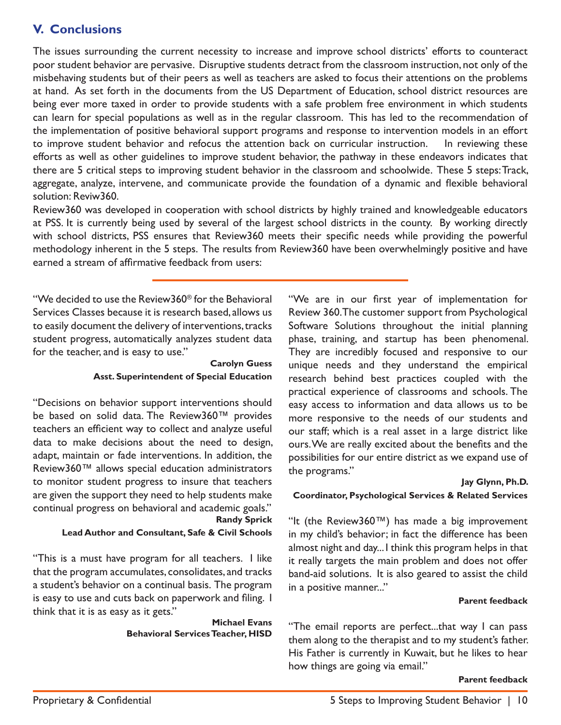## **V. Conclusions**

The issues surrounding the current necessity to increase and improve school districts' efforts to counteract poor student behavior are pervasive. Disruptive students detract from the classroom instruction, not only of the misbehaving students but of their peers as well as teachers are asked to focus their attentions on the problems at hand. As set forth in the documents from the US Department of Education, school district resources are being ever more taxed in order to provide students with a safe problem free environment in which students can learn for special populations as well as in the regular classroom. This has led to the recommendation of the implementation of positive behavioral support programs and response to intervention models in an effort to improve student behavior and refocus the attention back on curricular instruction. In reviewing these efforts as well as other guidelines to improve student behavior, the pathway in these endeavors indicates that there are 5 critical steps to improving student behavior in the classroom and schoolwide. These 5 steps: Track, aggregate, analyze, intervene, and communicate provide the foundation of a dynamic and flexible behavioral solution: Reviw360.

Review360 was developed in cooperation with school districts by highly trained and knowledgeable educators at PSS. It is currently being used by several of the largest school districts in the county. By working directly with school districts, PSS ensures that Review360 meets their specific needs while providing the powerful methodology inherent in the 5 steps. The results from Review360 have been overwhelmingly positive and have earned a stream of affirmative feedback from users:

"We decided to use the Review360® for the Behavioral Services Classes because it is research based, allows us to easily document the delivery of interventions, tracks student progress, automatically analyzes student data for the teacher, and is easy to use."

#### **Carolyn Guess Asst. Superintendent of Special Education**

"Decisions on behavior support interventions should be based on solid data. The Review360™ provides teachers an efficient way to collect and analyze useful data to make decisions about the need to design, adapt, maintain or fade interventions. In addition, the Review360™ allows special education administrators to monitor student progress to insure that teachers are given the support they need to help students make continual progress on behavioral and academic goals." **Randy Sprick**

#### **Lead Author and Consultant, Safe & Civil Schools**

"This is a must have program for all teachers. I like that the program accumulates, consolidates, and tracks a student's behavior on a continual basis. The program is easy to use and cuts back on paperwork and filing. I think that it is as easy as it gets."

> **Michael Evans Behavioral Services Teacher, HISD**

"We are in our first year of implementation for Review 360. The customer support from Psychological Software Solutions throughout the initial planning phase, training, and startup has been phenomenal. They are incredibly focused and responsive to our unique needs and they understand the empirical research behind best practices coupled with the practical experience of classrooms and schools. The easy access to information and data allows us to be more responsive to the needs of our students and our staff; which is a real asset in a large district like ours. We are really excited about the benefits and the possibilities for our entire district as we expand use of the programs."

#### **Jay Glynn, Ph.D.**

#### **Coordinator, Psychological Services & Related Services**

"It (the Review360™) has made a big improvement in my child's behavior; in fact the difference has been almost night and day... I think this program helps in that it really targets the main problem and does not offer band-aid solutions. It is also geared to assist the child in a positive manner..."

#### **Parent feedback**

"The email reports are perfect...that way I can pass them along to the therapist and to my student's father. His Father is currently in Kuwait, but he likes to hear how things are going via email."

#### **Parent feedback**